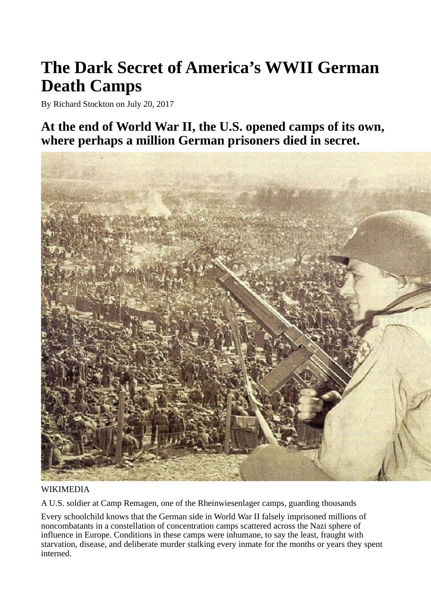# **The Dark Secret of America's WWII German Death Camps**

By Richard Stockton on July 20, 2017

**At the end of World War II, the U.S. opened camps of its own, where perhaps a million German prisoners died in secret.**



### WIKIMEDIA

A U.S. soldier at Camp Remagen, one of the Rheinwiesenlager camps, guarding thousands

Every schoolchild knows that the German side in World War II falsely imprisoned millions of noncombatants in a constellation of concentration camps scattered across the Nazi sphere of influence in Europe. Conditions in these camps were inhumane, to say the least, fraught with starvation, disease, and deliberate murder stalking every inmate for the months or years they spent interned.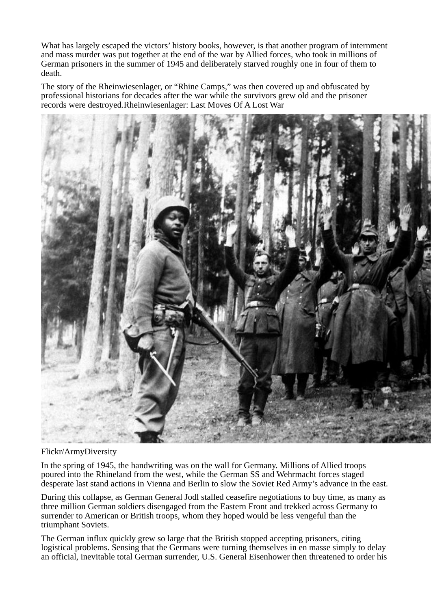What has largely escaped the victors' history books, however, is that another program of internment and mass murder was put together at the end of the war by Allied forces, who took in millions of German prisoners in the summer of 1945 and deliberately starved roughly one in four of them to death.

The story of the Rheinwiesenlager, or "Rhine Camps," was then covered up and obfuscated by professional historians for decades after the war while the survivors grew old and the prisoner records were destroyed.Rheinwiesenlager: Last Moves Of A Lost War



#### Flickr/ArmyDiversity

In the spring of 1945, the handwriting was on the wall for Germany. Millions of Allied troops poured into the Rhineland from the west, while the German SS and Wehrmacht forces staged desperate last stand actions in Vienna and Berlin to slow the Soviet Red Army's advance in the east.

During this collapse, as German General Jodl stalled ceasefire negotiations to buy time, as many as three million German soldiers disengaged from the Eastern Front and trekked across Germany to surrender to American or British troops, whom they hoped would be less vengeful than the triumphant Soviets.

The German influx quickly grew so large that the British stopped accepting prisoners, citing logistical problems. Sensing that the Germans were turning themselves in en masse simply to delay an official, inevitable total German surrender, U.S. General Eisenhower then threatened to order his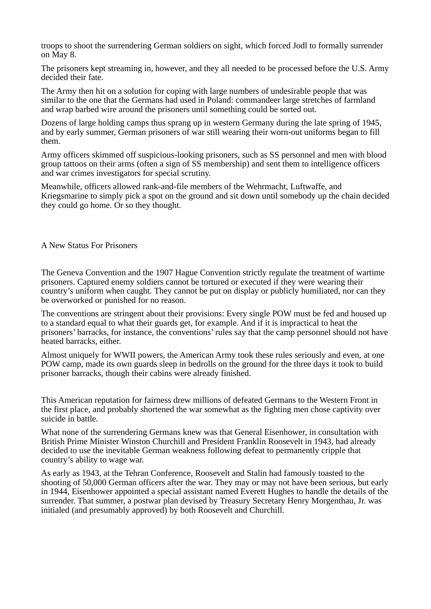troops to shoot the surrendering German soldiers on sight, which forced Jodl to formally surrender on May 8.

The prisoners kept streaming in, however, and they all needed to be processed before the U.S. Army decided their fate.

The Army then hit on a solution for coping with large numbers of undesirable people that was similar to the one that the Germans had used in Poland: commandeer large stretches of farmland and wrap barbed wire around the prisoners until something could be sorted out.

Dozens of large holding camps thus sprang up in western Germany during the late spring of 1945, and by early summer, German prisoners of war still wearing their worn-out uniforms began to fill them.

Army officers skimmed off suspicious-looking prisoners, such as SS personnel and men with blood group tattoos on their arms (often a sign of SS membership) and sent them to intelligence officers and war crimes investigators for special scrutiny.

Meanwhile, officers allowed rank-and-file members of the Wehrmacht, Luftwaffe, and Kriegsmarine to simply pick a spot on the ground and sit down until somebody up the chain decided they could go home. Or so they thought.

#### A New Status For Prisoners

The Geneva Convention and the 1907 Hague Convention strictly regulate the treatment of wartime prisoners. Captured enemy soldiers cannot be tortured or executed if they were wearing their country's uniform when caught. They cannot be put on display or publicly humiliated, nor can they be overworked or punished for no reason.

The conventions are stringent about their provisions: Every single POW must be fed and housed up to a standard equal to what their guards get, for example. And if it is impractical to heat the prisoners' barracks, for instance, the conventions' rules say that the camp personnel should not have heated barracks, either.

Almost uniquely for WWII powers, the American Army took these rules seriously and even, at one POW camp, made its own guards sleep in bedrolls on the ground for the three days it took to build prisoner barracks, though their cabins were already finished.

This American reputation for fairness drew millions of defeated Germans to the Western Front in the first place, and probably shortened the war somewhat as the fighting men chose captivity over suicide in battle.

What none of the surrendering Germans knew was that General Eisenhower, in consultation with British Prime Minister Winston Churchill and President Franklin Roosevelt in 1943, had already decided to use the inevitable German weakness following defeat to permanently cripple that country's ability to wage war.

As early as 1943, at the Tehran Conference, Roosevelt and Stalin had famously toasted to the shooting of 50,000 German officers after the war. They may or may not have been serious, but early in 1944, Eisenhower appointed a special assistant named Everett Hughes to handle the details of the surrender. That summer, a postwar plan devised by Treasury Secretary Henry Morgenthau, Jr. was initialed (and presumably approved) by both Roosevelt and Churchill.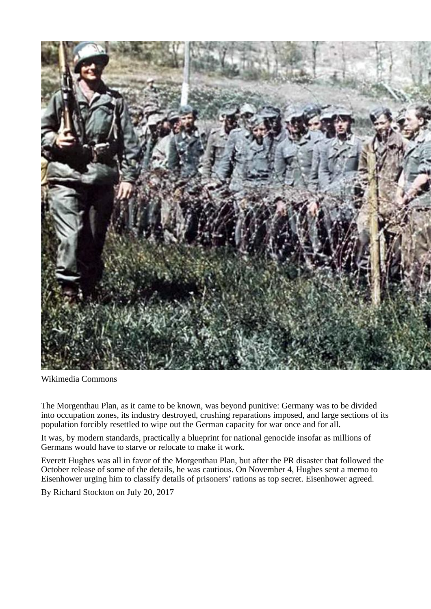

Wikimedia Commons

The Morgenthau Plan, as it came to be known, was beyond punitive: Germany was to be divided into occupation zones, its industry destroyed, crushing reparations imposed, and large sections of its population forcibly resettled to wipe out the German capacity for war once and for all.

It was, by modern standards, practically a blueprint for national genocide insofar as millions of Germans would have to starve or relocate to make it work.

Everett Hughes was all in favor of the Morgenthau Plan, but after the PR disaster that followed the October release of some of the details, he was cautious. On November 4, Hughes sent a memo to Eisenhower urging him to classify details of prisoners' rations as top secret. Eisenhower agreed.

By Richard Stockton on July 20, 2017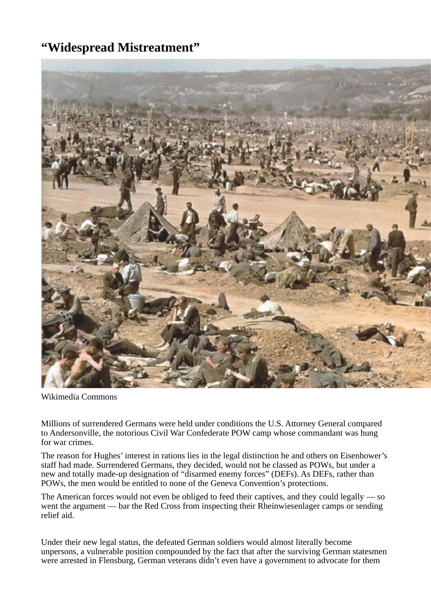### **"Widespread Mistreatment"**



Wikimedia Commons

Millions of surrendered Germans were held under conditions the U.S. Attorney General compared to Andersonville, the notorious Civil War Confederate POW camp whose commandant was hung for war crimes.

The reason for Hughes' interest in rations lies in the legal distinction he and others on Eisenhower's staff had made. Surrendered Germans, they decided, would not be classed as POWs, but under a new and totally made-up designation of "disarmed enemy forces" (DEFs). As DEFs, rather than POWs, the men would be entitled to none of the Geneva Convention's protections.

The American forces would not even be obliged to feed their captives, and they could legally — so went the argument — bar the Red Cross from inspecting their Rheinwiesenlager camps or sending relief aid.

Under their new legal status, the defeated German soldiers would almost literally become unpersons, a vulnerable position compounded by the fact that after the surviving German statesmen were arrested in Flensburg, German veterans didn't even have a government to advocate for them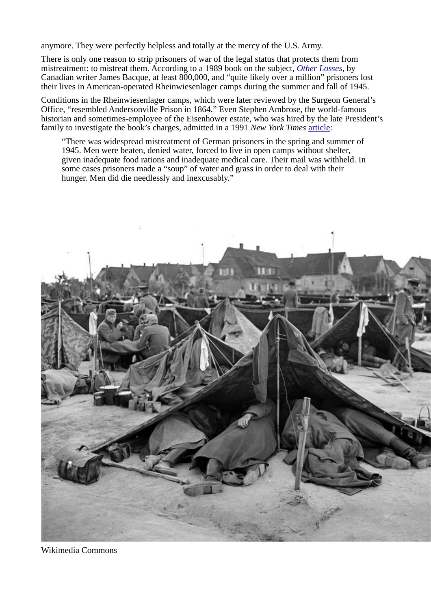anymore. They were perfectly helpless and totally at the mercy of the U.S. Army.

There is only one reason to strip prisoners of war of the legal status that protects them from mistreatment: to mistreat them. According to a 1989 book on the subject, *[Other Losses](http://abundanthope.net/artman2/uploads/1/Other_Losses_4.pdf)*, by Canadian writer James Bacque, at least 800,000, and "quite likely over a million" prisoners lost their lives in American-operated Rheinwiesenlager camps during the summer and fall of 1945.

Conditions in the Rheinwiesenlager camps, which were later reviewed by the Surgeon General's Office, "resembled Andersonville Prison in 1864." Even Stephen Ambrose, the world-famous historian and sometimes-employee of the Eisenhower estate, who was hired by the late President's family to investigate the book's charges, admitted in a 1991 *New York Times* [article:](http://www.nytimes.com/books/98/11/22/specials/ambrose-atrocities.html)

"There was widespread mistreatment of German prisoners in the spring and summer of 1945. Men were beaten, denied water, forced to live in open camps without shelter, given inadequate food rations and inadequate medical care. Their mail was withheld. In some cases prisoners made a "soup" of water and grass in order to deal with their hunger. Men did die needlessly and inexcusably."



Wikimedia Commons